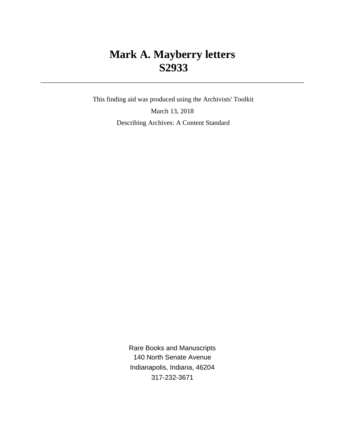# **Mark A. Mayberry letters S2933**

 This finding aid was produced using the Archivists' Toolkit March 13, 2018 Describing Archives: A Content Standard

> Rare Books and Manuscripts 140 North Senate Avenue Indianapolis, Indiana, 46204 317-232-3671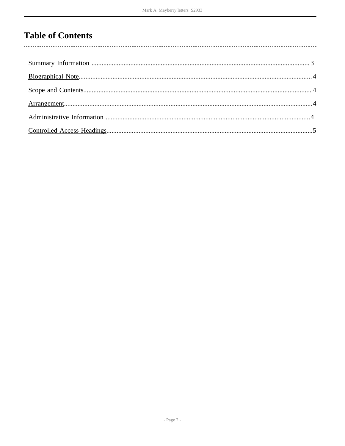# **Table of Contents**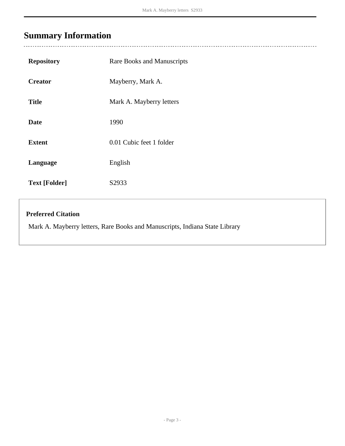# <span id="page-2-0"></span>**Summary Information**

l,

| <b>Repository</b>                                                           | Rare Books and Manuscripts |  |
|-----------------------------------------------------------------------------|----------------------------|--|
| <b>Creator</b>                                                              | Mayberry, Mark A.          |  |
| <b>Title</b>                                                                | Mark A. Mayberry letters   |  |
| <b>Date</b>                                                                 | 1990                       |  |
| <b>Extent</b>                                                               | 0.01 Cubic feet 1 folder   |  |
| Language                                                                    | English                    |  |
| <b>Text [Folder]</b>                                                        | S2933                      |  |
| <b>Preferred Citation</b>                                                   |                            |  |
| Mark A. Mayberry letters, Rare Books and Manuscripts, Indiana State Library |                            |  |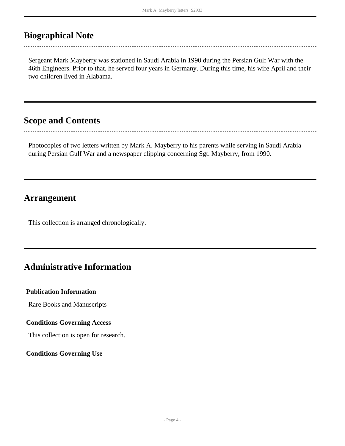## <span id="page-3-0"></span>**Biographical Note**

Sergeant Mark Mayberry was stationed in Saudi Arabia in 1990 during the Persian Gulf War with the 46th Engineers. Prior to that, he served four years in Germany. During this time, his wife April and their two children lived in Alabama.

## <span id="page-3-1"></span>**Scope and Contents**

Photocopies of two letters written by Mark A. Mayberry to his parents while serving in Saudi Arabia during Persian Gulf War and a newspaper clipping concerning Sgt. Mayberry, from 1990.

### <span id="page-3-2"></span>**Arrangement**

This collection is arranged chronologically.

## <span id="page-3-3"></span>**Administrative Information**

#### **Publication Information**

Rare Books and Manuscripts

#### **Conditions Governing Access**

This collection is open for research.

**Conditions Governing Use**